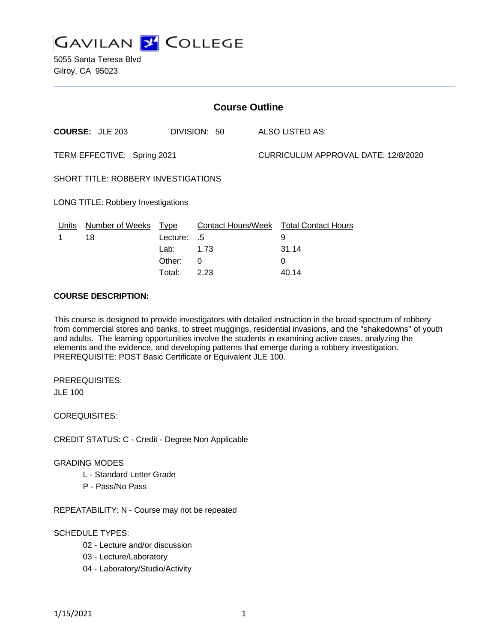

5055 Santa Teresa Blvd Gilroy, CA 95023

| <b>Course Outline</b>                     |                                        |             |                 |                                     |                                        |
|-------------------------------------------|----------------------------------------|-------------|-----------------|-------------------------------------|----------------------------------------|
|                                           | <b>COURSE: JLE 203</b><br>DIVISION: 50 |             | ALSO LISTED AS: |                                     |                                        |
| TERM EFFECTIVE: Spring 2021               |                                        |             |                 | CURRICULUM APPROVAL DATE: 12/8/2020 |                                        |
| SHORT TITLE: ROBBERY INVESTIGATIONS       |                                        |             |                 |                                     |                                        |
| <b>LONG TITLE: Robbery Investigations</b> |                                        |             |                 |                                     |                                        |
| Units                                     | <b>Number of Weeks</b>                 | <b>Type</b> |                 |                                     | Contact Hours/Week Total Contact Hours |
|                                           | 18                                     | Lecture:    | .5              |                                     | 9                                      |
|                                           |                                        | Lab:        | 1.73            |                                     | 31.14                                  |
|                                           |                                        | Other:      | 0               |                                     | 0                                      |
|                                           |                                        | Total:      | 2.23            |                                     | 40.14                                  |

#### **COURSE DESCRIPTION:**

This course is designed to provide investigators with detailed instruction in the broad spectrum of robbery from commercial stores and banks, to street muggings, residential invasions, and the "shakedowns" of youth and adults. The learning opportunities involve the students in examining active cases, analyzing the elements and the evidence, and developing patterns that emerge during a robbery investigation. PREREQUISITE: POST Basic Certificate or Equivalent JLE 100.

PREREQUISITES: JLE 100

COREQUISITES:

CREDIT STATUS: C - Credit - Degree Non Applicable

#### GRADING MODES

- L Standard Letter Grade
- P Pass/No Pass

REPEATABILITY: N - Course may not be repeated

#### SCHEDULE TYPES:

- 02 Lecture and/or discussion
- 03 Lecture/Laboratory
- 04 Laboratory/Studio/Activity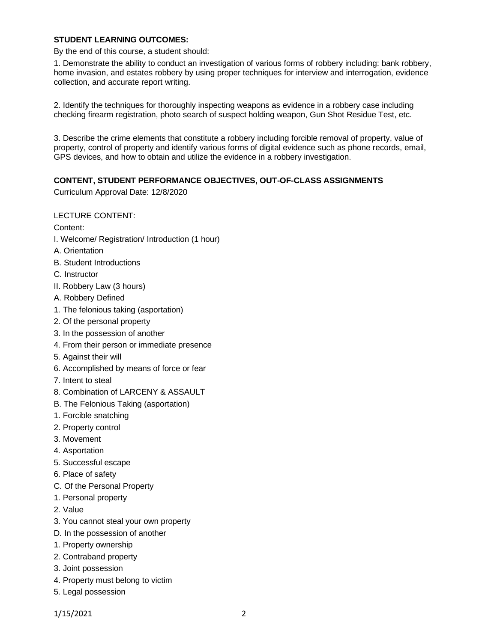### **STUDENT LEARNING OUTCOMES:**

By the end of this course, a student should:

1. Demonstrate the ability to conduct an investigation of various forms of robbery including: bank robbery, home invasion, and estates robbery by using proper techniques for interview and interrogation, evidence collection, and accurate report writing.

2. Identify the techniques for thoroughly inspecting weapons as evidence in a robbery case including checking firearm registration, photo search of suspect holding weapon, Gun Shot Residue Test, etc.

3. Describe the crime elements that constitute a robbery including forcible removal of property, value of property, control of property and identify various forms of digital evidence such as phone records, email, GPS devices, and how to obtain and utilize the evidence in a robbery investigation.

### **CONTENT, STUDENT PERFORMANCE OBJECTIVES, OUT-OF-CLASS ASSIGNMENTS**

Curriculum Approval Date: 12/8/2020

LECTURE CONTENT:

Content:

- I. Welcome/ Registration/ Introduction (1 hour)
- A. Orientation
- B. Student Introductions
- C. Instructor
- II. Robbery Law (3 hours)
- A. Robbery Defined
- 1. The felonious taking (asportation)
- 2. Of the personal property
- 3. In the possession of another
- 4. From their person or immediate presence
- 5. Against their will
- 6. Accomplished by means of force or fear
- 7. Intent to steal
- 8. Combination of LARCENY & ASSAULT
- B. The Felonious Taking (asportation)
- 1. Forcible snatching
- 2. Property control
- 3. Movement
- 4. Asportation
- 5. Successful escape
- 6. Place of safety
- C. Of the Personal Property
- 1. Personal property
- 2. Value
- 3. You cannot steal your own property
- D. In the possession of another
- 1. Property ownership
- 2. Contraband property
- 3. Joint possession
- 4. Property must belong to victim
- 5. Legal possession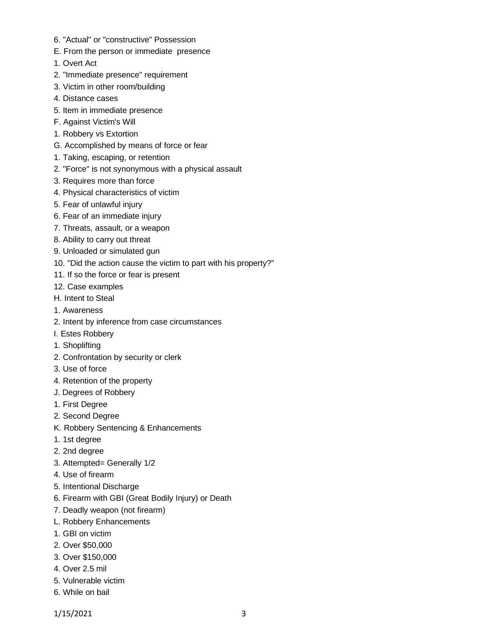- 6. "Actual" or "constructive" Possession
- E. From the person or immediate presence
- 1. Overt Act
- 2. "Immediate presence" requirement
- 3. Victim in other room/building
- 4. Distance cases
- 5. Item in immediate presence
- F. Against Victim's Will
- 1. Robbery vs Extortion
- G. Accomplished by means of force or fear
- 1. Taking, escaping, or retention
- 2. "Force" is not synonymous with a physical assault
- 3. Requires more than force
- 4. Physical characteristics of victim
- 5. Fear of unlawful injury
- 6. Fear of an immediate injury
- 7. Threats, assault, or a weapon
- 8. Ability to carry out threat
- 9. Unloaded or simulated gun
- 10. "Did the action cause the victim to part with his property?"
- 11. If so the force or fear is present
- 12. Case examples
- H. Intent to Steal
- 1. Awareness
- 2. Intent by inference from case circumstances
- I. Estes Robbery
- 1. Shoplifting
- 2. Confrontation by security or clerk
- 3. Use of force
- 4. Retention of the property
- J. Degrees of Robbery
- 1. First Degree
- 2. Second Degree
- K. Robbery Sentencing & Enhancements
- 1. 1st degree
- 2. 2nd degree
- 3. Attempted= Generally 1/2
- 4. Use of firearm
- 5. Intentional Discharge
- 6. Firearm with GBI (Great Bodily Injury) or Death
- 7. Deadly weapon (not firearm)
- L. Robbery Enhancements
- 1. GBI on victim
- 2. Over \$50,000
- 3. Over \$150,000
- 4. Over 2.5 mil
- 5. Vulnerable victim
- 6. While on bail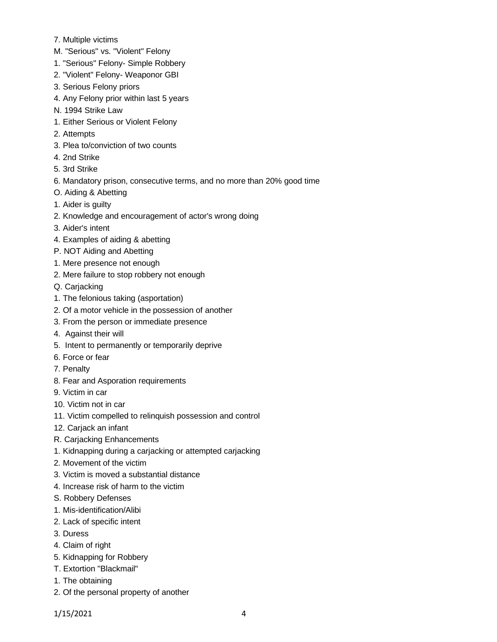- 7. Multiple victims
- M. "Serious" vs. "Violent" Felony
- 1. "Serious" Felony- Simple Robbery
- 2. "Violent" Felony- Weaponor GBI
- 3. Serious Felony priors
- 4. Any Felony prior within last 5 years
- N. 1994 Strike Law
- 1. Either Serious or Violent Felony
- 2. Attempts
- 3. Plea to/conviction of two counts
- 4. 2nd Strike
- 5. 3rd Strike
- 6. Mandatory prison, consecutive terms, and no more than 20% good time
- O. Aiding & Abetting
- 1. Aider is guilty
- 2. Knowledge and encouragement of actor's wrong doing
- 3. Aider's intent
- 4. Examples of aiding & abetting
- P. NOT Aiding and Abetting
- 1. Mere presence not enough
- 2. Mere failure to stop robbery not enough
- Q. Carjacking
- 1. The felonious taking (asportation)
- 2. Of a motor vehicle in the possession of another
- 3. From the person or immediate presence
- 4. Against their will
- 5. Intent to permanently or temporarily deprive
- 6. Force or fear
- 7. Penalty
- 8. Fear and Asporation requirements
- 9. Victim in car
- 10. Victim not in car
- 11. Victim compelled to relinquish possession and control
- 12. Carjack an infant
- R. Carjacking Enhancements
- 1. Kidnapping during a carjacking or attempted carjacking
- 2. Movement of the victim
- 3. Victim is moved a substantial distance
- 4. Increase risk of harm to the victim
- S. Robbery Defenses
- 1. Mis-identification/Alibi
- 2. Lack of specific intent
- 3. Duress
- 4. Claim of right
- 5. Kidnapping for Robbery
- T. Extortion "Blackmail"
- 1. The obtaining
- 2. Of the personal property of another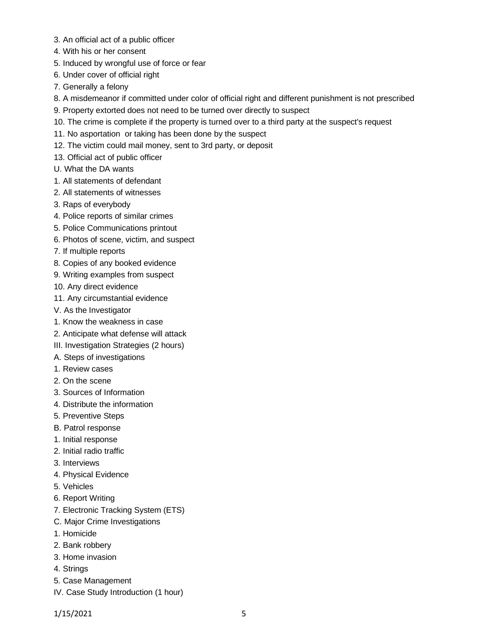- 3. An official act of a public officer
- 4. With his or her consent
- 5. Induced by wrongful use of force or fear
- 6. Under cover of official right
- 7. Generally a felony
- 8. A misdemeanor if committed under color of official right and different punishment is not prescribed
- 9. Property extorted does not need to be turned over directly to suspect
- 10. The crime is complete if the property is turned over to a third party at the suspect's request
- 11. No asportation or taking has been done by the suspect
- 12. The victim could mail money, sent to 3rd party, or deposit
- 13. Official act of public officer
- U. What the DA wants
- 1. All statements of defendant
- 2. All statements of witnesses
- 3. Raps of everybody
- 4. Police reports of similar crimes
- 5. Police Communications printout
- 6. Photos of scene, victim, and suspect
- 7. If multiple reports
- 8. Copies of any booked evidence
- 9. Writing examples from suspect
- 10. Any direct evidence
- 11. Any circumstantial evidence
- V. As the Investigator
- 1. Know the weakness in case
- 2. Anticipate what defense will attack
- III. Investigation Strategies (2 hours)
- A. Steps of investigations
- 1. Review cases
- 2. On the scene
- 3. Sources of Information
- 4. Distribute the information
- 5. Preventive Steps
- B. Patrol response
- 1. Initial response
- 2. Initial radio traffic
- 3. Interviews
- 4. Physical Evidence
- 5. Vehicles
- 6. Report Writing
- 7. Electronic Tracking System (ETS)
- C. Major Crime Investigations
- 1. Homicide
- 2. Bank robbery
- 3. Home invasion
- 4. Strings
- 5. Case Management
- IV. Case Study Introduction (1 hour)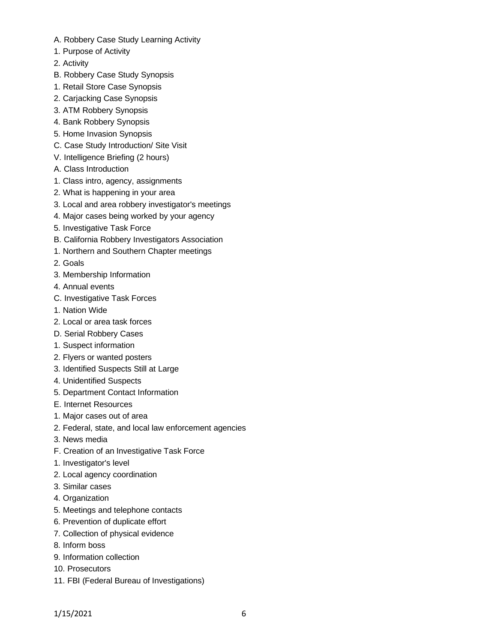- A. Robbery Case Study Learning Activity
- 1. Purpose of Activity
- 2. Activity
- B. Robbery Case Study Synopsis
- 1. Retail Store Case Synopsis
- 2. Carjacking Case Synopsis
- 3. ATM Robbery Synopsis
- 4. Bank Robbery Synopsis
- 5. Home Invasion Synopsis
- C. Case Study Introduction/ Site Visit
- V. Intelligence Briefing (2 hours)
- A. Class Introduction
- 1. Class intro, agency, assignments
- 2. What is happening in your area
- 3. Local and area robbery investigator's meetings
- 4. Major cases being worked by your agency
- 5. Investigative Task Force
- B. California Robbery Investigators Association
- 1. Northern and Southern Chapter meetings
- 2. Goals
- 3. Membership Information
- 4. Annual events
- C. Investigative Task Forces
- 1. Nation Wide
- 2. Local or area task forces
- D. Serial Robbery Cases
- 1. Suspect information
- 2. Flyers or wanted posters
- 3. Identified Suspects Still at Large
- 4. Unidentified Suspects
- 5. Department Contact Information
- E. Internet Resources
- 1. Major cases out of area
- 2. Federal, state, and local law enforcement agencies
- 3. News media
- F. Creation of an Investigative Task Force
- 1. Investigator's level
- 2. Local agency coordination
- 3. Similar cases
- 4. Organization
- 5. Meetings and telephone contacts
- 6. Prevention of duplicate effort
- 7. Collection of physical evidence
- 8. Inform boss
- 9. Information collection
- 10. Prosecutors
- 11. FBI (Federal Bureau of Investigations)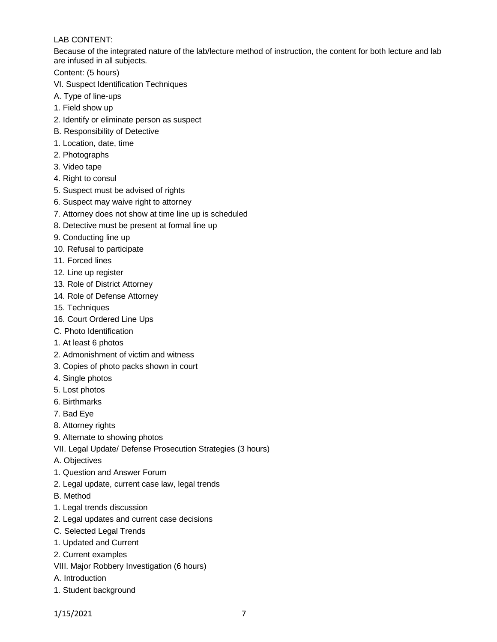## LAB CONTENT:

Because of the integrated nature of the lab/lecture method of instruction, the content for both lecture and lab are infused in all subjects.

Content: (5 hours)

- VI. Suspect Identification Techniques
- A. Type of line-ups
- 1. Field show up
- 2. Identify or eliminate person as suspect
- B. Responsibility of Detective
- 1. Location, date, time
- 2. Photographs
- 3. Video tape
- 4. Right to consul
- 5. Suspect must be advised of rights
- 6. Suspect may waive right to attorney
- 7. Attorney does not show at time line up is scheduled
- 8. Detective must be present at formal line up
- 9. Conducting line up
- 10. Refusal to participate
- 11. Forced lines
- 12. Line up register
- 13. Role of District Attorney
- 14. Role of Defense Attorney
- 15. Techniques
- 16. Court Ordered Line Ups
- C. Photo Identification
- 1. At least 6 photos
- 2. Admonishment of victim and witness
- 3. Copies of photo packs shown in court
- 4. Single photos
- 5. Lost photos
- 6. Birthmarks
- 7. Bad Eye
- 8. Attorney rights
- 9. Alternate to showing photos
- VII. Legal Update/ Defense Prosecution Strategies (3 hours)
- A. Objectives
- 1. Question and Answer Forum
- 2. Legal update, current case law, legal trends
- B. Method
- 1. Legal trends discussion
- 2. Legal updates and current case decisions
- C. Selected Legal Trends
- 1. Updated and Current
- 2. Current examples
- VIII. Major Robbery Investigation (6 hours)
- A. Introduction
- 1. Student background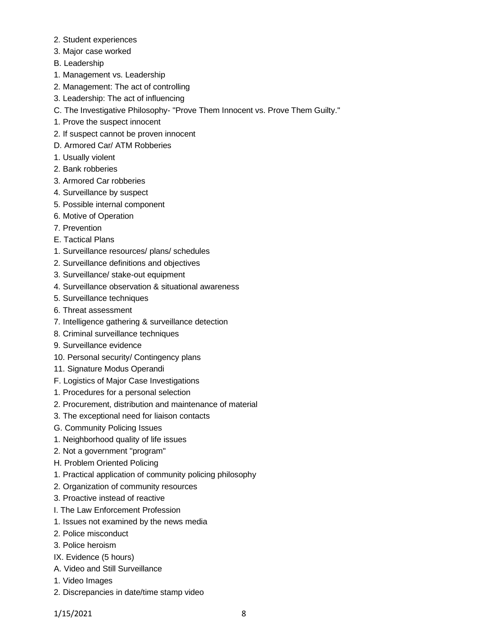- 2. Student experiences
- 3. Major case worked
- B. Leadership
- 1. Management vs. Leadership
- 2. Management: The act of controlling
- 3. Leadership: The act of influencing
- C. The Investigative Philosophy- "Prove Them Innocent vs. Prove Them Guilty."
- 1. Prove the suspect innocent
- 2. If suspect cannot be proven innocent
- D. Armored Car/ ATM Robberies
- 1. Usually violent
- 2. Bank robberies
- 3. Armored Car robberies
- 4. Surveillance by suspect
- 5. Possible internal component
- 6. Motive of Operation
- 7. Prevention
- E. Tactical Plans
- 1. Surveillance resources/ plans/ schedules
- 2. Surveillance definitions and objectives
- 3. Surveillance/ stake-out equipment
- 4. Surveillance observation & situational awareness
- 5. Surveillance techniques
- 6. Threat assessment
- 7. Intelligence gathering & surveillance detection
- 8. Criminal surveillance techniques
- 9. Surveillance evidence
- 10. Personal security/ Contingency plans
- 11. Signature Modus Operandi
- F. Logistics of Major Case Investigations
- 1. Procedures for a personal selection
- 2. Procurement, distribution and maintenance of material
- 3. The exceptional need for liaison contacts
- G. Community Policing Issues
- 1. Neighborhood quality of life issues
- 2. Not a government "program"
- H. Problem Oriented Policing
- 1. Practical application of community policing philosophy
- 2. Organization of community resources
- 3. Proactive instead of reactive
- I. The Law Enforcement Profession
- 1. Issues not examined by the news media
- 2. Police misconduct
- 3. Police heroism
- IX. Evidence (5 hours)
- A. Video and Still Surveillance
- 1. Video Images
- 2. Discrepancies in date/time stamp video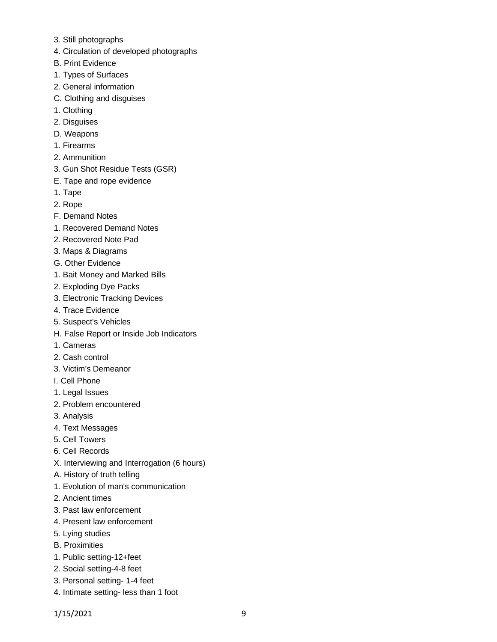- 3. Still photographs
- 4. Circulation of developed photographs
- B. Print Evidence
- 1. Types of Surfaces
- 2. General information
- C. Clothing and disguises
- 1. Clothing
- 2. Disguises
- D. Weapons
- 1. Firearms
- 2. Ammunition
- 3. Gun Shot Residue Tests (GSR)
- E. Tape and rope evidence
- 1. Tape
- 2. Rope
- F. Demand Notes
- 1. Recovered Demand Notes
- 2. Recovered Note Pad
- 3. Maps & Diagrams
- G. Other Evidence
- 1. Bait Money and Marked Bills
- 2. Exploding Dye Packs
- 3. Electronic Tracking Devices
- 4. Trace Evidence
- 5. Suspect's Vehicles
- H. False Report or Inside Job Indicators
- 1. Cameras
- 2. Cash control
- 3. Victim's Demeanor
- I. Cell Phone
- 1. Legal Issues
- 2. Problem encountered
- 3. Analysis
- 4. Text Messages
- 5. Cell Towers
- 6. Cell Records
- X. Interviewing and Interrogation (6 hours)
- A. History of truth telling
- 1. Evolution of man's communication
- 2. Ancient times
- 3. Past law enforcement
- 4. Present law enforcement
- 5. Lying studies
- B. Proximities
- 1. Public setting-12+feet
- 2. Social setting-4-8 feet
- 3. Personal setting- 1-4 feet
- 4. Intimate setting- less than 1 foot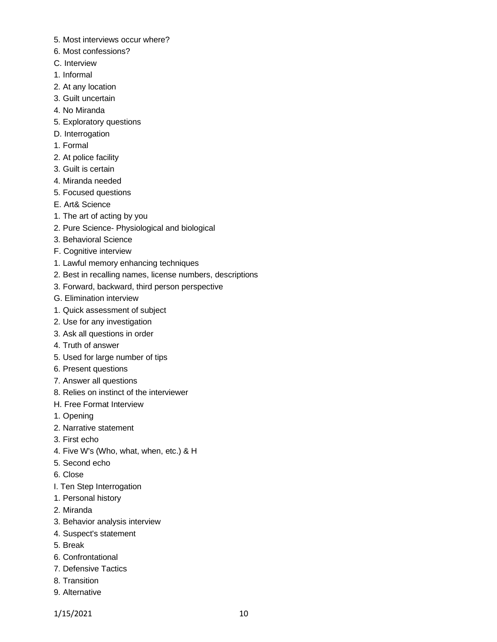- 5. Most interviews occur where?
- 6. Most confessions?
- C. Interview
- 1. Informal
- 2. At any location
- 3. Guilt uncertain
- 4. No Miranda
- 5. Exploratory questions
- D. Interrogation
- 1. Formal
- 2. At police facility
- 3. Guilt is certain
- 4. Miranda needed
- 5. Focused questions
- E. Art& Science
- 1. The art of acting by you
- 2. Pure Science- Physiological and biological
- 3. Behavioral Science
- F. Cognitive interview
- 1. Lawful memory enhancing techniques
- 2. Best in recalling names, license numbers, descriptions
- 3. Forward, backward, third person perspective
- G. Elimination interview
- 1. Quick assessment of subject
- 2. Use for any investigation
- 3. Ask all questions in order
- 4. Truth of answer
- 5. Used for large number of tips
- 6. Present questions
- 7. Answer all questions
- 8. Relies on instinct of the interviewer
- H. Free Format Interview
- 1. Opening
- 2. Narrative statement
- 3. First echo
- 4. Five W's (Who, what, when, etc.) & H
- 5. Second echo
- 6. Close
- I. Ten Step Interrogation
- 1. Personal history
- 2. Miranda
- 3. Behavior analysis interview
- 4. Suspect's statement
- 5. Break
- 6. Confrontational
- 7. Defensive Tactics
- 8. Transition
- 9. Alternative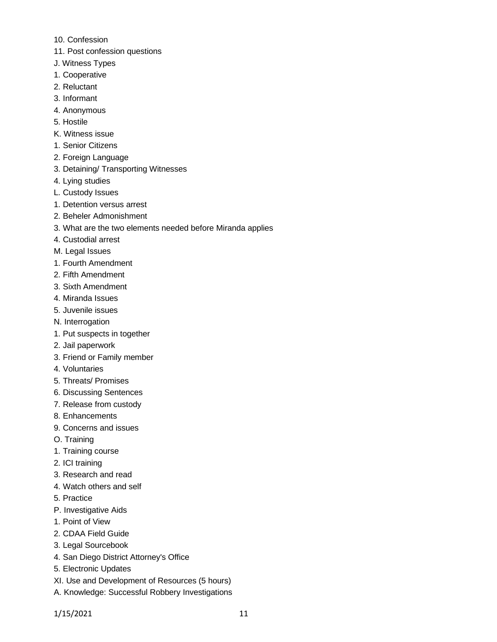- 10. Confession
- 11. Post confession questions
- J. Witness Types
- 1. Cooperative
- 2. Reluctant
- 3. Informant
- 4. Anonymous
- 5. Hostile
- K. Witness issue
- 1. Senior Citizens
- 2. Foreign Language
- 3. Detaining/ Transporting Witnesses
- 4. Lying studies
- L. Custody Issues
- 1. Detention versus arrest
- 2. Beheler Admonishment
- 3. What are the two elements needed before Miranda applies
- 4. Custodial arrest
- M. Legal Issues
- 1. Fourth Amendment
- 2. Fifth Amendment
- 3. Sixth Amendment
- 4. Miranda Issues
- 5. Juvenile issues
- N. Interrogation
- 1. Put suspects in together
- 2. Jail paperwork
- 3. Friend or Family member
- 4. Voluntaries
- 5. Threats/ Promises
- 6. Discussing Sentences
- 7. Release from custody
- 8. Enhancements
- 9. Concerns and issues
- O. Training
- 1. Training course
- 2. ICI training
- 3. Research and read
- 4. Watch others and self
- 5. Practice
- P. Investigative Aids
- 1. Point of View
- 2. CDAA Field Guide
- 3. Legal Sourcebook
- 4. San Diego District Attorney's Office
- 5. Electronic Updates
- XI. Use and Development of Resources (5 hours)
- A. Knowledge: Successful Robbery Investigations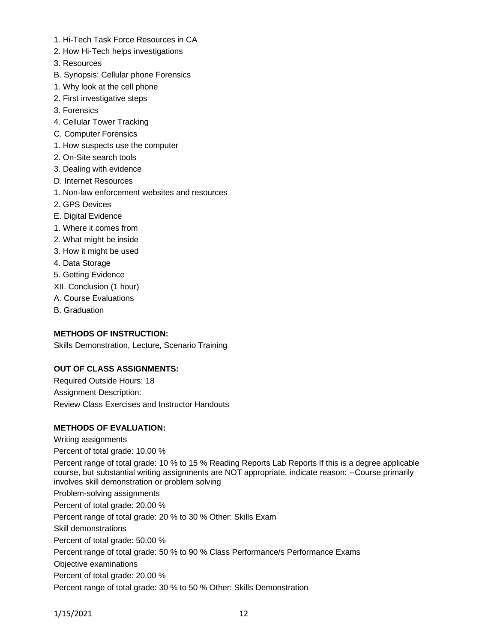- 1. Hi-Tech Task Force Resources in CA
- 2. How Hi-Tech helps investigations
- 3. Resources
- B. Synopsis: Cellular phone Forensics
- 1. Why look at the cell phone
- 2. First investigative steps
- 3. Forensics
- 4. Cellular Tower Tracking
- C. Computer Forensics
- 1. How suspects use the computer
- 2. On-Site search tools
- 3. Dealing with evidence
- D. Internet Resources
- 1. Non-law enforcement websites and resources
- 2. GPS Devices
- E. Digital Evidence
- 1. Where it comes from
- 2. What might be inside
- 3. How it might be used
- 4. Data Storage
- 5. Getting Evidence
- XII. Conclusion (1 hour)
- A. Course Evaluations
- B. Graduation

# **METHODS OF INSTRUCTION:**

Skills Demonstration, Lecture, Scenario Training

# **OUT OF CLASS ASSIGNMENTS:**

Required Outside Hours: 18 Assignment Description: Review Class Exercises and Instructor Handouts

# **METHODS OF EVALUATION:**

Writing assignments Percent of total grade: 10.00 % Percent range of total grade: 10 % to 15 % Reading Reports Lab Reports If this is a degree applicable course, but substantial writing assignments are NOT appropriate, indicate reason: --Course primarily involves skill demonstration or problem solving Problem-solving assignments Percent of total grade: 20.00 % Percent range of total grade: 20 % to 30 % Other: Skills Exam Skill demonstrations Percent of total grade: 50.00 % Percent range of total grade: 50 % to 90 % Class Performance/s Performance Exams Objective examinations Percent of total grade: 20.00 % Percent range of total grade: 30 % to 50 % Other: Skills Demonstration